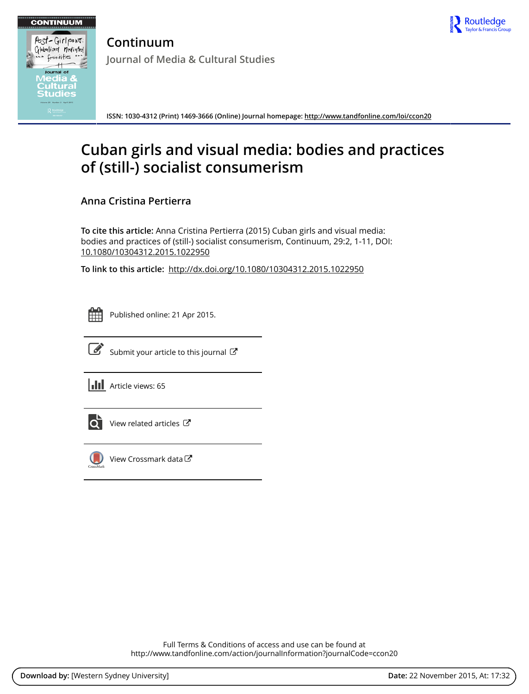

Post-Girlpowr: **Continuum** Globalised Mediated feminifies \*\* **Journal of Media & Cultural Studies**

**ISSN: 1030-4312 (Print) 1469-3666 (Online) Journal homepage:<http://www.tandfonline.com/loi/ccon20>**

# **Cuban girls and visual media: bodies and practices of (still-) socialist consumerism**

**Anna Cristina Pertierra**

**To cite this article:** Anna Cristina Pertierra (2015) Cuban girls and visual media: bodies and practices of (still-) socialist consumerism, Continuum, 29:2, 1-11, DOI: [10.1080/10304312.2015.1022950](http://www.tandfonline.com/action/showCitFormats?doi=10.1080/10304312.2015.1022950)

**To link to this article:** <http://dx.doi.org/10.1080/10304312.2015.1022950>

|  | - |  |
|--|---|--|
|  |   |  |
|  |   |  |
|  |   |  |

**CONTINUUM** 

Published online: 21 Apr 2015.



 $\overline{\mathscr{L}}$  [Submit your article to this journal](http://www.tandfonline.com/action/authorSubmission?journalCode=ccon20&page=instructions)  $\mathbb{Z}$ 

**III** Article views: 65



 $\overrightarrow{Q}$  [View related articles](http://www.tandfonline.com/doi/mlt/10.1080/10304312.2015.1022950)  $\overrightarrow{C}$ 



[View Crossmark data](http://crossmark.crossref.org/dialog/?doi=10.1080/10304312.2015.1022950&domain=pdf&date_stamp=2015-04-21)<sup>で</sup>

Full Terms & Conditions of access and use can be found at <http://www.tandfonline.com/action/journalInformation?journalCode=ccon20>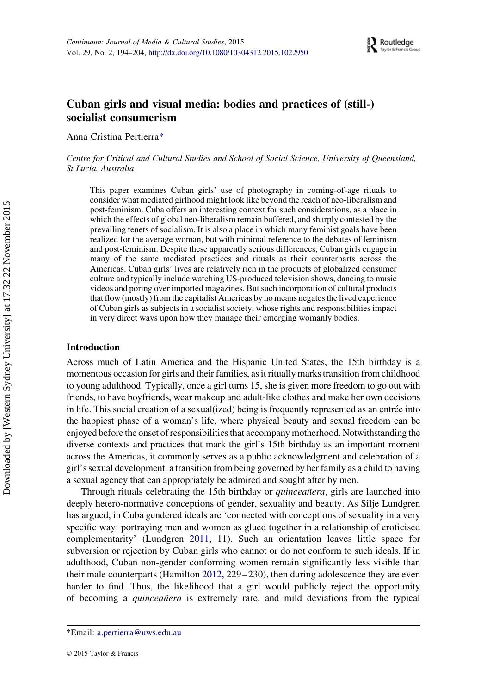# Cuban girls and visual media: bodies and practices of (still-) socialist consumerism

Anna Cristina Pertierra\*

Centre for Critical and Cultural Studies and School of Social Science, University of Queensland, St Lucia, Australia

This paper examines Cuban girls' use of photography in coming-of-age rituals to consider what mediated girlhood might look like beyond the reach of neo-liberalism and post-feminism. Cuba offers an interesting context for such considerations, as a place in which the effects of global neo-liberalism remain buffered, and sharply contested by the prevailing tenets of socialism. It is also a place in which many feminist goals have been realized for the average woman, but with minimal reference to the debates of feminism and post-feminism. Despite these apparently serious differences, Cuban girls engage in many of the same mediated practices and rituals as their counterparts across the Americas. Cuban girls' lives are relatively rich in the products of globalized consumer culture and typically include watching US-produced television shows, dancing to music videos and poring over imported magazines. But such incorporation of cultural products that flow (mostly) from the capitalist Americas by no means negates the lived experience of Cuban girls as subjects in a socialist society, whose rights and responsibilities impact in very direct ways upon how they manage their emerging womanly bodies.

## Introduction

Across much of Latin America and the Hispanic United States, the 15th birthday is a momentous occasion for girls and their families, as it ritually marks transition from childhood to young adulthood. Typically, once a girl turns 15, she is given more freedom to go out with friends, to have boyfriends, wear makeup and adult-like clothes and make her own decisions in life. This social creation of a sexual (ized) being is frequently represented as an entrée into the happiest phase of a woman's life, where physical beauty and sexual freedom can be enjoyed before the onset of responsibilities that accompany motherhood. Notwithstanding the diverse contexts and practices that mark the girl's 15th birthday as an important moment across the Americas, it commonly serves as a public acknowledgment and celebration of a girl's sexual development: a transition from being governed by her family as a child to having a sexual agency that can appropriately be admired and sought after by men.

Through rituals celebrating the 15th birthday or *quinceañera*, girls are launched into deeply hetero-normative conceptions of gender, sexuality and beauty. As Silje Lundgren has argued, in Cuba gendered ideals are 'connected with conceptions of sexuality in a very specific way: portraying men and women as glued together in a relationship of eroticised complementarity' (Lundgren [2011](#page-11-0), 11). Such an orientation leaves little space for subversion or rejection by Cuban girls who cannot or do not conform to such ideals. If in adulthood, Cuban non-gender conforming women remain significantly less visible than their male counterparts (Hamilton [2012,](#page-11-0) 229– 230), then during adolescence they are even harder to find. Thus, the likelihood that a girl would publicly reject the opportunity of becoming a *quinceañera* is extremely rare, and mild deviations from the typical

<sup>\*</sup>Email: [a.pertierra@uws.edu.au](mailto:a.pertierra@uws.edu.au)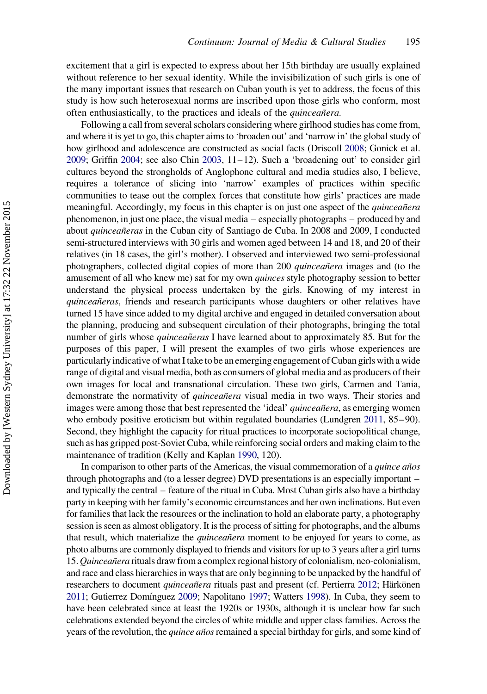excitement that a girl is expected to express about her 15th birthday are usually explained without reference to her sexual identity. While the invisibilization of such girls is one of the many important issues that research on Cuban youth is yet to address, the focus of this study is how such heterosexual norms are inscribed upon those girls who conform, most often enthusiastically, to the practices and ideals of the *quinceañera*.

Following a call from several scholars considering where girlhood studies has come from, and where it is yet to go, this chapter aims to 'broaden out' and 'narrow in' the global study of how girlhood and adolescence are constructed as social facts (Driscoll [2008;](#page-10-0) Gonick et al. [2009;](#page-11-0) Griffin [2004](#page-11-0); see also Chin [2003,](#page-10-0)  $11-12$ ). Such a 'broadening out' to consider girl cultures beyond the strongholds of Anglophone cultural and media studies also, I believe, requires a tolerance of slicing into 'narrow' examples of practices within specific communities to tease out the complex forces that constitute how girls' practices are made meaningful. Accordingly, my focus in this chapter is on just one aspect of the *quinceantera* phenomenon, in just one place, the visual media – especially photographs – produced by and about *quinceañeras* in the Cuban city of Santiago de Cuba. In 2008 and 2009, I conducted semi-structured interviews with 30 girls and women aged between 14 and 18, and 20 of their relatives (in 18 cases, the girl's mother). I observed and interviewed two semi-professional photographers, collected digital copies of more than 200 *quinceantera* images and (to the amusement of all who knew me) sat for my own quinces style photography session to better understand the physical process undertaken by the girls. Knowing of my interest in quinceañeras, friends and research participants whose daughters or other relatives have turned 15 have since added to my digital archive and engaged in detailed conversation about the planning, producing and subsequent circulation of their photographs, bringing the total number of girls whose quinceañeras I have learned about to approximately 85. But for the purposes of this paper, I will present the examples of two girls whose experiences are particularly indicative of what I taketo be an emerging engagement of Cuban girls with a wide range of digital and visual media, both as consumers of global media and as producers of their own images for local and transnational circulation. These two girls, Carmen and Tania, demonstrate the normativity of *quinceañera* visual media in two ways. Their stories and images were among those that best represented the 'ideal' *quinceañera*, as emerging women who embody positive eroticism but within regulated boundaries (Lundgren [2011](#page-11-0), 85–90). Second, they highlight the capacity for ritual practices to incorporate sociopolitical change, such as has gripped post-Soviet Cuba, while reinforcing social orders and making claim to the maintenance of tradition (Kelly and Kaplan [1990](#page-11-0), 120).

In comparison to other parts of the Americas, the visual commemoration of a *quince an* os through photographs and (to a lesser degree) DVD presentations is an especially important – and typically the central – feature of the ritual in Cuba. Most Cuban girls also have a birthday party in keeping with her family's economic circumstances and her own inclinations. But even for families that lack the resources or the inclination to hold an elaborate party, a photography session is seen as almost obligatory. It is the process of sitting for photographs, and the albums that result, which materialize the *quinceantera* moment to be enjoyed for years to come, as photo albums are commonly displayed to friends and visitors for up to 3 years after a girl turns 15. Quinceañera rituals draw from a complex regional history of colonialism, neo-colonialism, and race and class hierarchies in ways that are only beginning to be unpacked by the handful of researchers to document *quinceañera* rituals past and present (cf. Pertierra [2012;](#page-11-0) Härkönen [2011;](#page-11-0) Gutierrez Domı´nguez [2009;](#page-11-0) Napolitano [1997](#page-11-0); Watters [1998\)](#page-11-0). In Cuba, they seem to have been celebrated since at least the 1920s or 1930s, although it is unclear how far such celebrations extended beyond the circles of white middle and upper class families. Across the years of the revolution, the *quince años* remained a special birthday for girls, and some kind of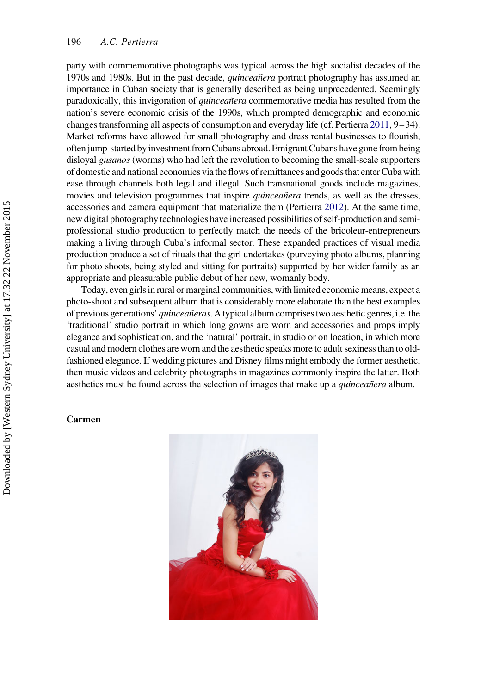party with commemorative photographs was typical across the high socialist decades of the 1970s and 1980s. But in the past decade, *quinceañera* portrait photography has assumed an importance in Cuban society that is generally described as being unprecedented. Seemingly paradoxically, this invigoration of *quinceañera* commemorative media has resulted from the nation's severe economic crisis of the 1990s, which prompted demographic and economic changes transforming all aspects of consumption and everyday life (cf. Pertierra [2011,](#page-11-0) 9–34). Market reforms have allowed for small photography and dress rental businesses to flourish, often jump-started byinvestment from Cubans abroad. Emigrant Cubans have gone from being disloyal *gusanos* (worms) who had left the revolution to becoming the small-scale supporters of domestic and national economies viathe flows of remittances and goodsthat enter Cuba with ease through channels both legal and illegal. Such transnational goods include magazines, movies and television programmes that inspire *quinceañera* trends, as well as the dresses, accessories and camera equipment that materialize them (Pertierra [2012](#page-11-0)). At the same time, new digital photography technologies have increased possibilities of self-production and semiprofessional studio production to perfectly match the needs of the bricoleur-entrepreneurs making a living through Cuba's informal sector. These expanded practices of visual media production produce a set of rituals that the girl undertakes (purveying photo albums, planning for photo shoots, being styled and sitting for portraits) supported by her wider family as an appropriate and pleasurable public debut of her new, womanly body.

Today, even girls in rural or marginal communities, with limited economic means, expect a photo-shoot and subsequent album that is considerably more elaborate than the best examples of previous generations' *quinceañeras*. A typical album comprises two aesthetic genres, i.e. the 'traditional' studio portrait in which long gowns are worn and accessories and props imply elegance and sophistication, and the 'natural' portrait, in studio or on location, in which more casual and modern clothes are worn and the aesthetic speaks more to adult sexiness than to oldfashioned elegance. If wedding pictures and Disney films might embody the former aesthetic, then music videos and celebrity photographs in magazines commonly inspire the latter. Both aesthetics must be found across the selection of images that make up a *quinceantera* album.

### Carmen

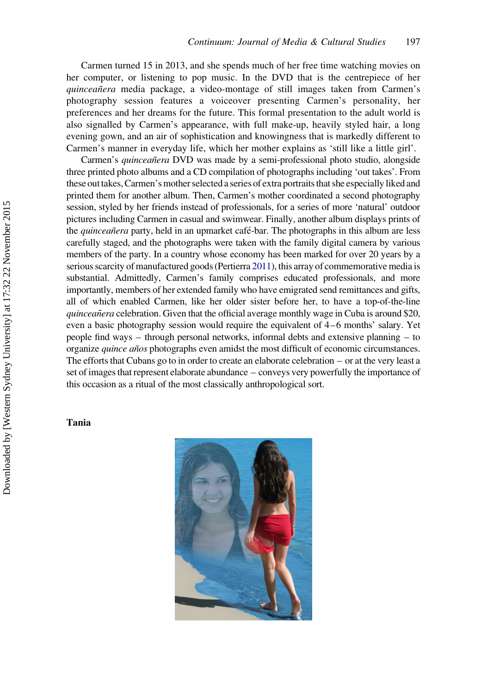Carmen turned 15 in 2013, and she spends much of her free time watching movies on her computer, or listening to pop music. In the DVD that is the centrepiece of her quinceañera media package, a video-montage of still images taken from Carmen's photography session features a voiceover presenting Carmen's personality, her preferences and her dreams for the future. This formal presentation to the adult world is also signalled by Carmen's appearance, with full make-up, heavily styled hair, a long evening gown, and an air of sophistication and knowingness that is markedly different to Carmen's manner in everyday life, which her mother explains as 'still like a little girl'.

Carmen's *quinceañera* DVD was made by a semi-professional photo studio, alongside three printed photo albums and a CD compilation of photographs including 'out takes'. From these outtakes, Carmen's mother selected a series of extra portraitsthat she especially liked and printed them for another album. Then, Carmen's mother coordinated a second photography session, styled by her friends instead of professionals, for a series of more 'natural' outdoor pictures including Carmen in casual and swimwear. Finally, another album displays prints of the *quinceañera* party, held in an upmarket café-bar. The photographs in this album are less carefully staged, and the photographs were taken with the family digital camera by various members of the party. In a country whose economy has been marked for over 20 years by a serious scarcity of manufactured goods (Pertierra [2011\)](#page-11-0), this array of commemorative media is substantial. Admittedly, Carmen's family comprises educated professionals, and more importantly, members of her extended family who have emigrated send remittances and gifts, all of which enabled Carmen, like her older sister before her, to have a top-of-the-line quinceañera celebration. Given that the official average monthly wage in Cuba is around \$20, even a basic photography session would require the equivalent of 4–6 months' salary. Yet people find ways – through personal networks, informal debts and extensive planning – to organize *quince años* photographs even amidst the most difficult of economic circumstances. The efforts that Cubans go to in order to create an elaborate celebration – or at the very least a set of images that represent elaborate abundance – conveys very powerfully the importance of this occasion as a ritual of the most classically anthropological sort.

# Tania

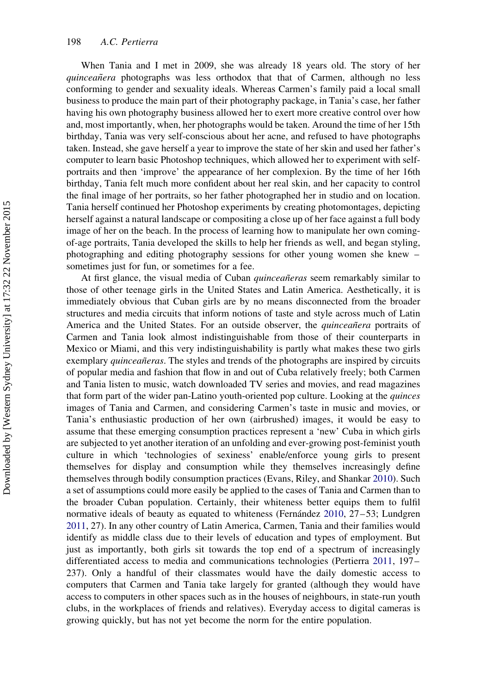When Tania and I met in 2009, she was already 18 years old. The story of her quincean era photographs was less orthodox that that of Carmen, although no less conforming to gender and sexuality ideals. Whereas Carmen's family paid a local small business to produce the main part of their photography package, in Tania's case, her father having his own photography business allowed her to exert more creative control over how and, most importantly, when, her photographs would be taken. Around the time of her 15th birthday, Tania was very self-conscious about her acne, and refused to have photographs taken. Instead, she gave herself a year to improve the state of her skin and used her father's computer to learn basic Photoshop techniques, which allowed her to experiment with selfportraits and then 'improve' the appearance of her complexion. By the time of her 16th birthday, Tania felt much more confident about her real skin, and her capacity to control the final image of her portraits, so her father photographed her in studio and on location. Tania herself continued her Photoshop experiments by creating photomontages, depicting herself against a natural landscape or compositing a close up of her face against a full body image of her on the beach. In the process of learning how to manipulate her own comingof-age portraits, Tania developed the skills to help her friends as well, and began styling, photographing and editing photography sessions for other young women she knew – sometimes just for fun, or sometimes for a fee.

At first glance, the visual media of Cuban *quinceañeras* seem remarkably similar to those of other teenage girls in the United States and Latin America. Aesthetically, it is immediately obvious that Cuban girls are by no means disconnected from the broader structures and media circuits that inform notions of taste and style across much of Latin America and the United States. For an outside observer, the *quinceanera* portraits of Carmen and Tania look almost indistinguishable from those of their counterparts in Mexico or Miami, and this very indistinguishability is partly what makes these two girls exemplary *quinceañeras*. The styles and trends of the photographs are inspired by circuits of popular media and fashion that flow in and out of Cuba relatively freely; both Carmen and Tania listen to music, watch downloaded TV series and movies, and read magazines that form part of the wider pan-Latino youth-oriented pop culture. Looking at the quinces images of Tania and Carmen, and considering Carmen's taste in music and movies, or Tania's enthusiastic production of her own (airbrushed) images, it would be easy to assume that these emerging consumption practices represent a 'new' Cuba in which girls are subjected to yet another iteration of an unfolding and ever-growing post-feminist youth culture in which 'technologies of sexiness' enable/enforce young girls to present themselves for display and consumption while they themselves increasingly define themselves through bodily consumption practices (Evans, Riley, and Shankar [2010\)](#page-11-0). Such a set of assumptions could more easily be applied to the cases of Tania and Carmen than to the broader Cuban population. Certainly, their whiteness better equips them to fulfil normative ideals of beauty as equated to whiteness (Fernández [2010](#page-11-0), 27–53; Lundgren [2011](#page-11-0), 27). In any other country of Latin America, Carmen, Tania and their families would identify as middle class due to their levels of education and types of employment. But just as importantly, both girls sit towards the top end of a spectrum of increasingly differentiated access to media and communications technologies (Pertierra [2011,](#page-11-0) 197 – 237). Only a handful of their classmates would have the daily domestic access to computers that Carmen and Tania take largely for granted (although they would have access to computers in other spaces such as in the houses of neighbours, in state-run youth clubs, in the workplaces of friends and relatives). Everyday access to digital cameras is growing quickly, but has not yet become the norm for the entire population.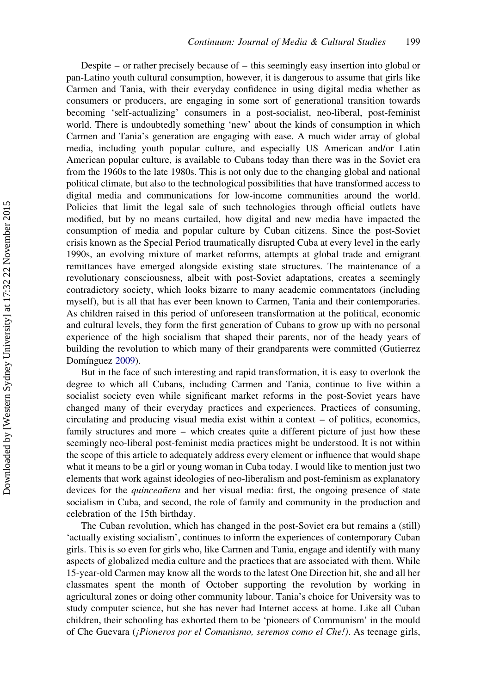Despite – or rather precisely because of – this seemingly easy insertion into global or pan-Latino youth cultural consumption, however, it is dangerous to assume that girls like Carmen and Tania, with their everyday confidence in using digital media whether as consumers or producers, are engaging in some sort of generational transition towards becoming 'self-actualizing' consumers in a post-socialist, neo-liberal, post-feminist world. There is undoubtedly something 'new' about the kinds of consumption in which Carmen and Tania's generation are engaging with ease. A much wider array of global media, including youth popular culture, and especially US American and/or Latin American popular culture, is available to Cubans today than there was in the Soviet era from the 1960s to the late 1980s. This is not only due to the changing global and national political climate, but also to the technological possibilities that have transformed access to digital media and communications for low-income communities around the world. Policies that limit the legal sale of such technologies through official outlets have modified, but by no means curtailed, how digital and new media have impacted the consumption of media and popular culture by Cuban citizens. Since the post-Soviet crisis known as the Special Period traumatically disrupted Cuba at every level in the early 1990s, an evolving mixture of market reforms, attempts at global trade and emigrant remittances have emerged alongside existing state structures. The maintenance of a revolutionary consciousness, albeit with post-Soviet adaptations, creates a seemingly contradictory society, which looks bizarre to many academic commentators (including myself), but is all that has ever been known to Carmen, Tania and their contemporaries. As children raised in this period of unforeseen transformation at the political, economic and cultural levels, they form the first generation of Cubans to grow up with no personal experience of the high socialism that shaped their parents, nor of the heady years of building the revolution to which many of their grandparents were committed (Gutierrez Domínguez [2009\)](#page-11-0).

But in the face of such interesting and rapid transformation, it is easy to overlook the degree to which all Cubans, including Carmen and Tania, continue to live within a socialist society even while significant market reforms in the post-Soviet years have changed many of their everyday practices and experiences. Practices of consuming, circulating and producing visual media exist within a context – of politics, economics, family structures and more – which creates quite a different picture of just how these seemingly neo-liberal post-feminist media practices might be understood. It is not within the scope of this article to adequately address every element or influence that would shape what it means to be a girl or young woman in Cuba today. I would like to mention just two elements that work against ideologies of neo-liberalism and post-feminism as explanatory devices for the *quinceañera* and her visual media: first, the ongoing presence of state socialism in Cuba, and second, the role of family and community in the production and celebration of the 15th birthday.

The Cuban revolution, which has changed in the post-Soviet era but remains a (still) 'actually existing socialism', continues to inform the experiences of contemporary Cuban girls. This is so even for girls who, like Carmen and Tania, engage and identify with many aspects of globalized media culture and the practices that are associated with them. While 15-year-old Carmen may know all the words to the latest One Direction hit, she and all her classmates spent the month of October supporting the revolution by working in agricultural zones or doing other community labour. Tania's choice for University was to study computer science, but she has never had Internet access at home. Like all Cuban children, their schooling has exhorted them to be 'pioneers of Communism' in the mould of Che Guevara (¡Pioneros por el Comunismo, seremos como el Che!). As teenage girls,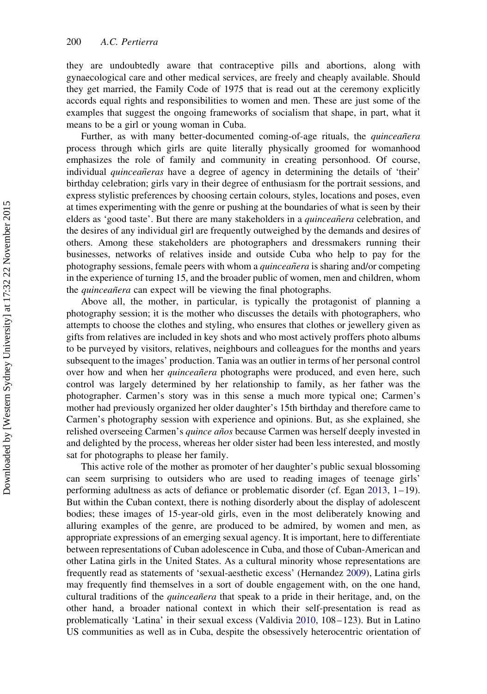they are undoubtedly aware that contraceptive pills and abortions, along with gynaecological care and other medical services, are freely and cheaply available. Should they get married, the Family Code of 1975 that is read out at the ceremony explicitly accords equal rights and responsibilities to women and men. These are just some of the examples that suggest the ongoing frameworks of socialism that shape, in part, what it means to be a girl or young woman in Cuba.

Further, as with many better-documented coming-of-age rituals, the *quinceantera* process through which girls are quite literally physically groomed for womanhood emphasizes the role of family and community in creating personhood. Of course, individual *quinceañeras* have a degree of agency in determining the details of 'their' birthday celebration; girls vary in their degree of enthusiasm for the portrait sessions, and express stylistic preferences by choosing certain colours, styles, locations and poses, even at times experimenting with the genre or pushing at the boundaries of what is seen by their elders as 'good taste'. But there are many stakeholders in a *quinceantera* celebration, and the desires of any individual girl are frequently outweighed by the demands and desires of others. Among these stakeholders are photographers and dressmakers running their businesses, networks of relatives inside and outside Cuba who help to pay for the photography sessions, female peers with whom a *quinceañera* is sharing and/or competing in the experience of turning 15, and the broader public of women, men and children, whom the *quinceañera* can expect will be viewing the final photographs.

Above all, the mother, in particular, is typically the protagonist of planning a photography session; it is the mother who discusses the details with photographers, who attempts to choose the clothes and styling, who ensures that clothes or jewellery given as gifts from relatives are included in key shots and who most actively proffers photo albums to be purveyed by visitors, relatives, neighbours and colleagues for the months and years subsequent to the images' production. Tania was an outlier in terms of her personal control over how and when her *quinceañera* photographs were produced, and even here, such control was largely determined by her relationship to family, as her father was the photographer. Carmen's story was in this sense a much more typical one; Carmen's mother had previously organized her older daughter's 15th birthday and therefore came to Carmen's photography session with experience and opinions. But, as she explained, she relished overseeing Carmen's *quince años* because Carmen was herself deeply invested in and delighted by the process, whereas her older sister had been less interested, and mostly sat for photographs to please her family.

This active role of the mother as promoter of her daughter's public sexual blossoming can seem surprising to outsiders who are used to reading images of teenage girls' performing adultness as acts of defiance or problematic disorder (cf. Egan [2013,](#page-10-0) 1 –19). But within the Cuban context, there is nothing disorderly about the display of adolescent bodies; these images of 15-year-old girls, even in the most deliberately knowing and alluring examples of the genre, are produced to be admired, by women and men, as appropriate expressions of an emerging sexual agency. It is important, here to differentiate between representations of Cuban adolescence in Cuba, and those of Cuban-American and other Latina girls in the United States. As a cultural minority whose representations are frequently read as statements of 'sexual-aesthetic excess' (Hernandez [2009\)](#page-11-0), Latina girls may frequently find themselves in a sort of double engagement with, on the one hand, cultural traditions of the *quinceañera* that speak to a pride in their heritage, and, on the other hand, a broader national context in which their self-presentation is read as problematically 'Latina' in their sexual excess (Valdivia [2010,](#page-11-0) 108 –123). But in Latino US communities as well as in Cuba, despite the obsessively heterocentric orientation of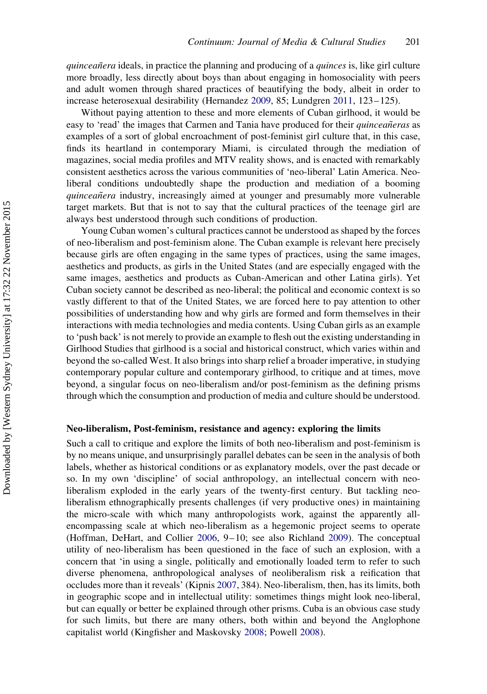quinceañera ideals, in practice the planning and producing of a *quinces* is, like girl culture more broadly, less directly about boys than about engaging in homosociality with peers and adult women through shared practices of beautifying the body, albeit in order to increase heterosexual desirability (Hernandez [2009,](#page-11-0) 85; Lundgren [2011,](#page-11-0) 123–125).

Without paying attention to these and more elements of Cuban girlhood, it would be easy to 'read' the images that Carmen and Tania have produced for their *quinceañeras* as examples of a sort of global encroachment of post-feminist girl culture that, in this case, finds its heartland in contemporary Miami, is circulated through the mediation of magazines, social media profiles and MTV reality shows, and is enacted with remarkably consistent aesthetics across the various communities of 'neo-liberal' Latin America. Neoliberal conditions undoubtedly shape the production and mediation of a booming quinceañera industry, increasingly aimed at younger and presumably more vulnerable target markets. But that is not to say that the cultural practices of the teenage girl are always best understood through such conditions of production.

Young Cuban women's cultural practices cannot be understood as shaped by the forces of neo-liberalism and post-feminism alone. The Cuban example is relevant here precisely because girls are often engaging in the same types of practices, using the same images, aesthetics and products, as girls in the United States (and are especially engaged with the same images, aesthetics and products as Cuban-American and other Latina girls). Yet Cuban society cannot be described as neo-liberal; the political and economic context is so vastly different to that of the United States, we are forced here to pay attention to other possibilities of understanding how and why girls are formed and form themselves in their interactions with media technologies and media contents. Using Cuban girls as an example to 'push back' is not merely to provide an example to flesh out the existing understanding in Girlhood Studies that girlhood is a social and historical construct, which varies within and beyond the so-called West. It also brings into sharp relief a broader imperative, in studying contemporary popular culture and contemporary girlhood, to critique and at times, move beyond, a singular focus on neo-liberalism and/or post-feminism as the defining prisms through which the consumption and production of media and culture should be understood.

#### Neo-liberalism, Post-feminism, resistance and agency: exploring the limits

Such a call to critique and explore the limits of both neo-liberalism and post-feminism is by no means unique, and unsurprisingly parallel debates can be seen in the analysis of both labels, whether as historical conditions or as explanatory models, over the past decade or so. In my own 'discipline' of social anthropology, an intellectual concern with neoliberalism exploded in the early years of the twenty-first century. But tackling neoliberalism ethnographically presents challenges (if very productive ones) in maintaining the micro-scale with which many anthropologists work, against the apparently allencompassing scale at which neo-liberalism as a hegemonic project seems to operate (Hoffman, DeHart, and Collier [2006,](#page-11-0) 9 –10; see also Richland [2009\)](#page-11-0). The conceptual utility of neo-liberalism has been questioned in the face of such an explosion, with a concern that 'in using a single, politically and emotionally loaded term to refer to such diverse phenomena, anthropological analyses of neoliberalism risk a reification that occludes more than it reveals' (Kipnis [2007,](#page-11-0) 384). Neo-liberalism, then, has its limits, both in geographic scope and in intellectual utility: sometimes things might look neo-liberal, but can equally or better be explained through other prisms. Cuba is an obvious case study for such limits, but there are many others, both within and beyond the Anglophone capitalist world (Kingfisher and Maskovsky [2008;](#page-11-0) Powell [2008](#page-11-0)).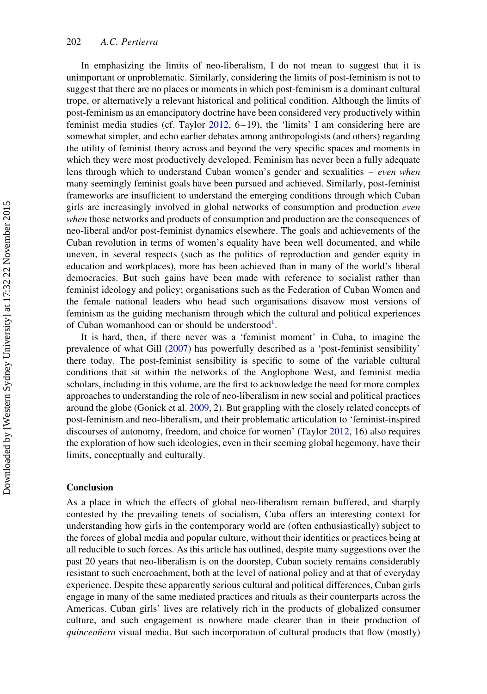In emphasizing the limits of neo-liberalism, I do not mean to suggest that it is unimportant or unproblematic. Similarly, considering the limits of post-feminism is not to suggest that there are no places or moments in which post-feminism is a dominant cultural trope, or alternatively a relevant historical and political condition. Although the limits of post-feminism as an emancipatory doctrine have been considered very productively within feminist media studies (cf. Taylor [2012,](#page-11-0)  $6-19$ ), the 'limits' I am considering here are somewhat simpler, and echo earlier debates among anthropologists (and others) regarding the utility of feminist theory across and beyond the very specific spaces and moments in which they were most productively developed. Feminism has never been a fully adequate lens through which to understand Cuban women's gender and sexualities  $-$  *even when* many seemingly feminist goals have been pursued and achieved. Similarly, post-feminist frameworks are insufficient to understand the emerging conditions through which Cuban girls are increasingly involved in global networks of consumption and production *even* when those networks and products of consumption and production are the consequences of neo-liberal and/or post-feminist dynamics elsewhere. The goals and achievements of the Cuban revolution in terms of women's equality have been well documented, and while uneven, in several respects (such as the politics of reproduction and gender equity in education and workplaces), more has been achieved than in many of the world's liberal democracies. But such gains have been made with reference to socialist rather than feminist ideology and policy; organisations such as the Federation of Cuban Women and the female national leaders who head such organisations disavow most versions of feminism as the guiding mechanism through which the cultural and political experiences of Cuban womanhood can or should be understood<sup>[1](#page-10-0)</sup>.

It is hard, then, if there never was a 'feminist moment' in Cuba, to imagine the prevalence of what Gill ([2007\)](#page-11-0) has powerfully described as a 'post-feminist sensibility' there today. The post-feminist sensibility is specific to some of the variable cultural conditions that sit within the networks of the Anglophone West, and feminist media scholars, including in this volume, are the first to acknowledge the need for more complex approaches to understanding the role of neo-liberalism in new social and political practices around the globe (Gonick et al. [2009,](#page-11-0) 2). But grappling with the closely related concepts of post-feminism and neo-liberalism, and their problematic articulation to 'feminist-inspired discourses of autonomy, freedom, and choice for women' (Taylor [2012,](#page-11-0) 16) also requires the exploration of how such ideologies, even in their seeming global hegemony, have their limits, conceptually and culturally.

#### Conclusion

As a place in which the effects of global neo-liberalism remain buffered, and sharply contested by the prevailing tenets of socialism, Cuba offers an interesting context for understanding how girls in the contemporary world are (often enthusiastically) subject to the forces of global media and popular culture, without their identities or practices being at all reducible to such forces. As this article has outlined, despite many suggestions over the past 20 years that neo-liberalism is on the doorstep, Cuban society remains considerably resistant to such encroachment, both at the level of national policy and at that of everyday experience. Despite these apparently serious cultural and political differences, Cuban girls engage in many of the same mediated practices and rituals as their counterparts across the Americas. Cuban girls' lives are relatively rich in the products of globalized consumer culture, and such engagement is nowhere made clearer than in their production of quinceañera visual media. But such incorporation of cultural products that flow (mostly)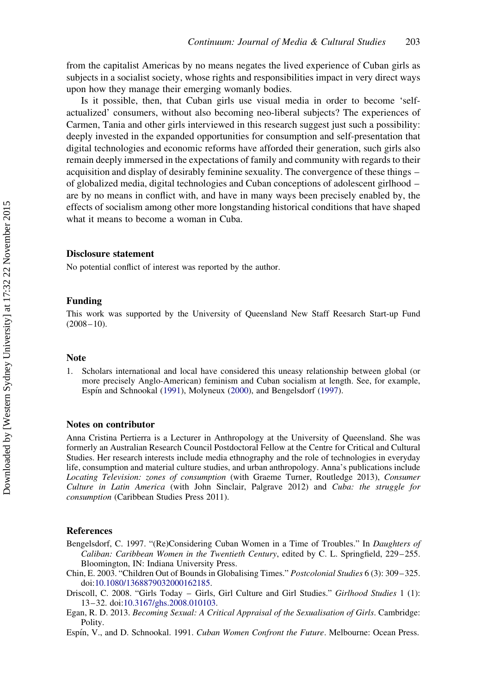<span id="page-10-0"></span>from the capitalist Americas by no means negates the lived experience of Cuban girls as subjects in a socialist society, whose rights and responsibilities impact in very direct ways upon how they manage their emerging womanly bodies.

Is it possible, then, that Cuban girls use visual media in order to become 'selfactualized' consumers, without also becoming neo-liberal subjects? The experiences of Carmen, Tania and other girls interviewed in this research suggest just such a possibility: deeply invested in the expanded opportunities for consumption and self-presentation that digital technologies and economic reforms have afforded their generation, such girls also remain deeply immersed in the expectations of family and community with regards to their acquisition and display of desirably feminine sexuality. The convergence of these things – of globalized media, digital technologies and Cuban conceptions of adolescent girlhood – are by no means in conflict with, and have in many ways been precisely enabled by, the effects of socialism among other more longstanding historical conditions that have shaped what it means to become a woman in Cuba.

#### Disclosure statement

No potential conflict of interest was reported by the author.

### Funding

This work was supported by the University of Queensland New Staff Reesarch Start-up Fund  $(2008 - 10)$ .

#### Note

1. Scholars international and local have considered this uneasy relationship between global (or more precisely Anglo-American) feminism and Cuban socialism at length. See, for example, Espín and Schnookal (1991), Molyneux ([2000\)](#page-11-0), and Bengelsdorf (1997).

#### Notes on contributor

Anna Cristina Pertierra is a Lecturer in Anthropology at the University of Queensland. She was formerly an Australian Research Council Postdoctoral Fellow at the Centre for Critical and Cultural Studies. Her research interests include media ethnography and the role of technologies in everyday life, consumption and material culture studies, and urban anthropology. Anna's publications include Locating Television: zones of consumption (with Graeme Turner, Routledge 2013), Consumer Culture in Latin America (with John Sinclair, Palgrave 2012) and Cuba: the struggle for consumption (Caribbean Studies Press 2011).

#### References

- Bengelsdorf, C. 1997. "(Re)Considering Cuban Women in a Time of Troubles." In Daughters of Caliban: Caribbean Women in the Twentieth Century, edited by C. L. Springfield, 229–255. Bloomington, IN: Indiana University Press.
- Chin, E. 2003. "Children Out of Bounds in Globalising Times." Postcolonial Studies 6 (3): 309–325. doi[:10.1080/1368879032000162185.](http://dx.doi.org/10.1080/1368879032000162185)
- Driscoll, C. 2008. "Girls Today Girls, Girl Culture and Girl Studies." Girlhood Studies 1 (1): 13 – 32. doi[:10.3167/ghs.2008.010103.](http://dx.doi.org/10.3167/ghs.2008.010103)
- Egan, R. D. 2013. Becoming Sexual: A Critical Appraisal of the Sexualisation of Girls. Cambridge: Polity.

Espín, V., and D. Schnookal. 1991. Cuban Women Confront the Future. Melbourne: Ocean Press.